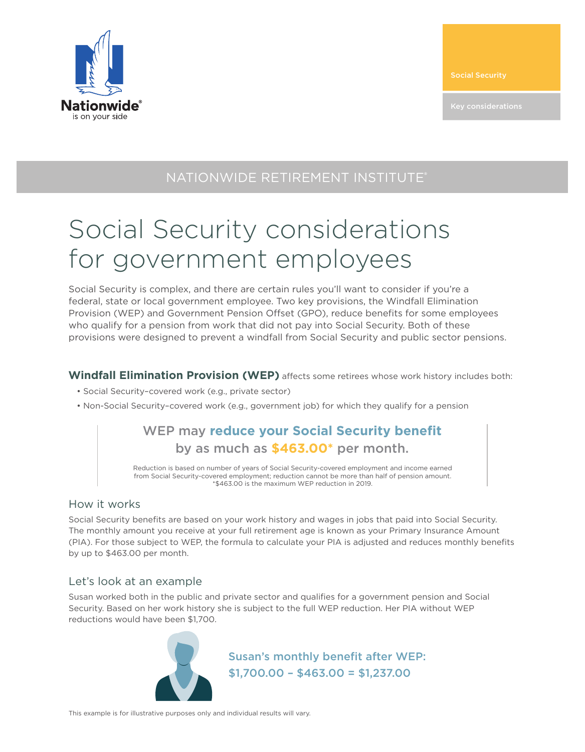

Social Security

## NATIONWIDE RETIREMENT INSTITUTE®

# Social Security considerations for government employees

Social Security is complex, and there are certain rules you'll want to consider if you're a federal, state or local government employee. Two key provisions, the Windfall Elimination Provision (WEP) and Government Pension Offset (GPO), reduce benefits for some employees who qualify for a pension from work that did not pay into Social Security. Both of these provisions were designed to prevent a windfall from Social Security and public sector pensions.

**Windfall Elimination Provision (WEP)** affects some retirees whose work history includes both:

- Social Security–covered work (e.g., private sector)
- Non-Social Security–covered work (e.g., government job) for which they qualify for a pension

### WEP may **reduce your Social Security benefit** by as much as **\$463.00\*** per month.

Reduction is based on number of years of Social Security-covered employment and income earned from Social Security-covered employment; reduction cannot be more than half of pension amount. \*\$463.00 is the maximum WEP reduction in 2019.

#### How it works

Social Security benefits are based on your work history and wages in jobs that paid into Social Security. The monthly amount you receive at your full retirement age is known as your Primary Insurance Amount (PIA). For those subject to WEP, the formula to calculate your PIA is adjusted and reduces monthly benefits by up to \$463.00 per month.

#### Let's look at an example

Susan worked both in the public and private sector and qualifies for a government pension and Social Security. Based on her work history she is subject to the full WEP reduction. Her PIA without WEP reductions would have been \$1,700.



Susan's monthly benefit after WEP: \$1,700.00 – \$463.00 = \$1,237.00

This example is for illustrative purposes only and individual results will vary.